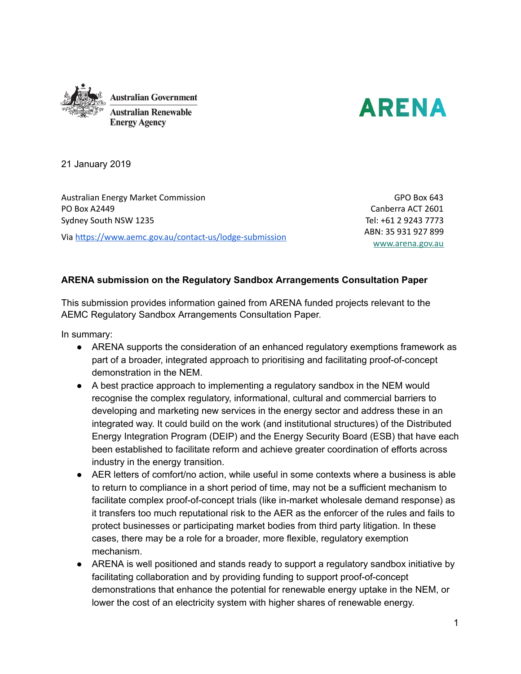



21 January 2019

Australian Energy Market Commission PO Box A2449 Sydney South NSW 1235 Via https://www.aemc.gov.au/contact-us/lodge-submission

GPO Box 643 Canberra ACT 2601 Tel: +61 2 9243 7773 ABN: 35 931 927 899 [www.arena.gov.au](http://www.arena.gov.au/)

#### **ARENA submission on the Regulatory Sandbox Arrangements Consultation Paper**

This submission provides information gained from ARENA funded projects relevant to the AEMC Regulatory Sandbox Arrangements Consultation Paper.

In summary:

- ARENA supports the consideration of an enhanced regulatory exemptions framework as part of a broader, integrated approach to prioritising and facilitating proof-of-concept demonstration in the NEM.
- A best practice approach to implementing a regulatory sandbox in the NEM would recognise the complex regulatory, informational, cultural and commercial barriers to developing and marketing new services in the energy sector and address these in an integrated way. It could build on the work (and institutional structures) of the Distributed Energy Integration Program (DEIP) and the Energy Security Board (ESB) that have each been established to facilitate reform and achieve greater coordination of efforts across industry in the energy transition.
- AER letters of comfort/no action, while useful in some contexts where a business is able to return to compliance in a short period of time, may not be a sufficient mechanism to facilitate complex proof-of-concept trials (like in-market wholesale demand response) as it transfers too much reputational risk to the AER as the enforcer of the rules and fails to protect businesses or participating market bodies from third party litigation. In these cases, there may be a role for a broader, more flexible, regulatory exemption mechanism.
- ARENA is well positioned and stands ready to support a regulatory sandbox initiative by facilitating collaboration and by providing funding to support proof-of-concept demonstrations that enhance the potential for renewable energy uptake in the NEM, or lower the cost of an electricity system with higher shares of renewable energy.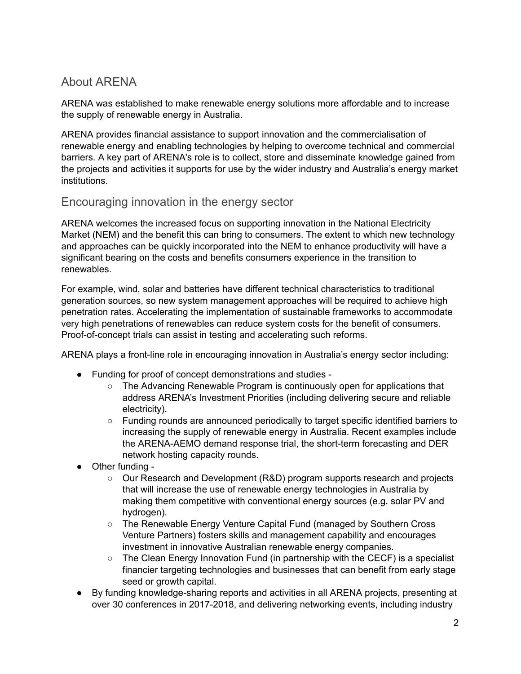# About ARENA

ARENA was established to make renewable energy solutions more affordable and to increase the supply of renewable energy in Australia.

ARENA provides financial assistance to support innovation and the commercialisation of renewable energy and enabling technologies by helping to overcome technical and commercial barriers. A key part of ARENA's role is to collect, store and disseminate knowledge gained from the projects and activities it supports for use by the wider industry and Australia's energy market institutions.

## Encouraging innovation in the energy sector

ARENA welcomes the increased focus on supporting innovation in the National Electricity Market (NEM) and the benefit this can bring to consumers. The extent to which new technology and approaches can be quickly incorporated into the NEM to enhance productivity will have a significant bearing on the costs and benefits consumers experience in the transition to renewables.

For example, wind, solar and batteries have different technical characteristics to traditional generation sources, so new system management approaches will be required to achieve high penetration rates. Accelerating the implementation of sustainable frameworks to accommodate very high penetrations of renewables can reduce system costs for the benefit of consumers. Proof-of-concept trials can assist in testing and accelerating such reforms.

ARENA plays a front-line role in encouraging innovation in Australia's energy sector including:

- Funding for proof of concept demonstrations and studies
	- The Advancing Renewable Program is continuously open for applications that address ARENA's Investment Priorities (including delivering secure and reliable electricity).
	- Funding rounds are announced periodically to target specific identified barriers to increasing the supply of renewable energy in Australia. Recent examples include the ARENA-AEMO demand response trial, the short-term forecasting and DER network hosting capacity rounds.
- Other funding
	- Our Research and Development (R&D) program supports research and projects that will increase the use of renewable energy technologies in Australia by making them competitive with conventional energy sources (e.g. solar PV and hydrogen).
	- The Renewable Energy Venture Capital Fund (managed by Southern Cross Venture Partners) fosters skills and management capability and encourages investment in innovative Australian renewable energy companies.
	- $\circ$  The Clean Energy Innovation Fund (in partnership with the CECF) is a specialist financier targeting technologies and businesses that can benefit from early stage seed or growth capital.
- By funding knowledge-sharing reports and activities in all ARENA projects, presenting at over 30 conferences in 2017-2018, and delivering networking events, including industry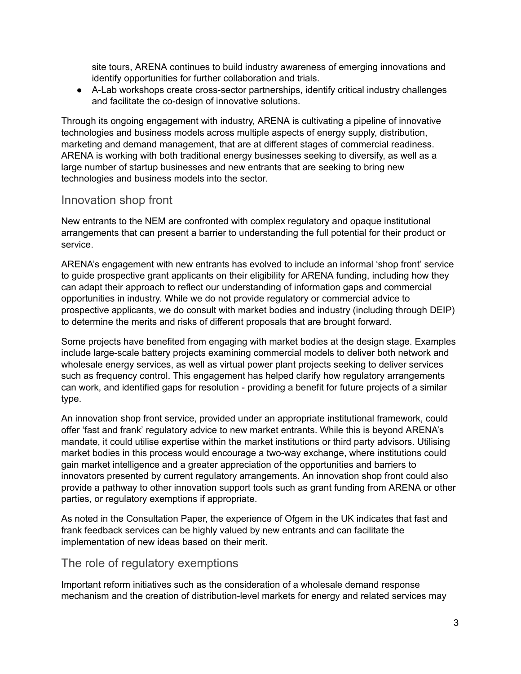site tours, ARENA continues to build industry awareness of emerging innovations and identify opportunities for further collaboration and trials.

● A-Lab workshops create cross-sector partnerships, identify critical industry challenges and facilitate the co-design of innovative solutions.

Through its ongoing engagement with industry, ARENA is cultivating a pipeline of innovative technologies and business models across multiple aspects of energy supply, distribution, marketing and demand management, that are at different stages of commercial readiness. ARENA is working with both traditional energy businesses seeking to diversify, as well as a large number of startup businesses and new entrants that are seeking to bring new technologies and business models into the sector.

## Innovation shop front

New entrants to the NEM are confronted with complex regulatory and opaque institutional arrangements that can present a barrier to understanding the full potential for their product or service.

ARENA's engagement with new entrants has evolved to include an informal 'shop front' service to guide prospective grant applicants on their eligibility for ARENA funding, including how they can adapt their approach to reflect our understanding of information gaps and commercial opportunities in industry. While we do not provide regulatory or commercial advice to prospective applicants, we do consult with market bodies and industry (including through DEIP) to determine the merits and risks of different proposals that are brought forward.

Some projects have benefited from engaging with market bodies at the design stage. Examples include large-scale battery projects examining commercial models to deliver both network and wholesale energy services, as well as virtual power plant projects seeking to deliver services such as frequency control. This engagement has helped clarify how regulatory arrangements can work, and identified gaps for resolution - providing a benefit for future projects of a similar type.

An innovation shop front service, provided under an appropriate institutional framework, could offer 'fast and frank' regulatory advice to new market entrants. While this is beyond ARENA's mandate, it could utilise expertise within the market institutions or third party advisors. Utilising market bodies in this process would encourage a two-way exchange, where institutions could gain market intelligence and a greater appreciation of the opportunities and barriers to innovators presented by current regulatory arrangements. An innovation shop front could also provide a pathway to other innovation support tools such as grant funding from ARENA or other parties, or regulatory exemptions if appropriate.

As noted in the Consultation Paper, the experience of Ofgem in the UK indicates that fast and frank feedback services can be highly valued by new entrants and can facilitate the implementation of new ideas based on their merit.

## The role of regulatory exemptions

Important reform initiatives such as the consideration of a wholesale demand response mechanism and the creation of distribution-level markets for energy and related services may